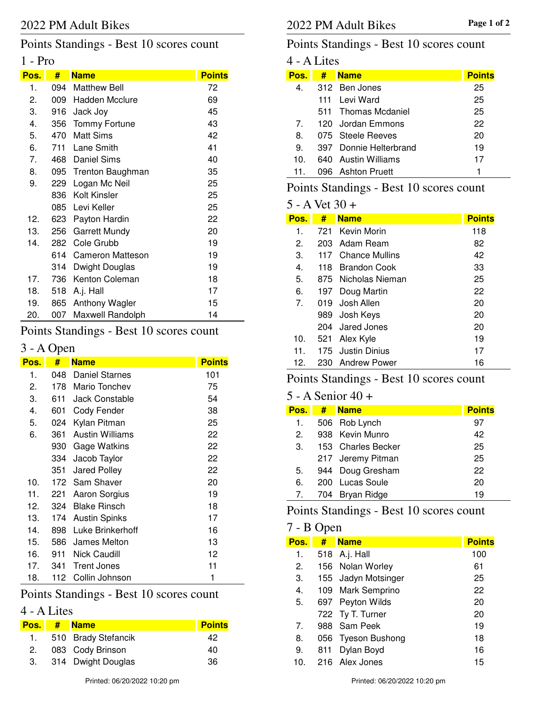## Points Standings - Best 10 scores count

## 1 - Pro

| Pos. | #     | <b>Name</b>             | <b>Points</b> |
|------|-------|-------------------------|---------------|
| 1.   | 094   | <b>Matthew Bell</b>     | 72            |
| 2.   | 009 - | Hadden Mcclure          | 69            |
| 3.   | 916   | Jack Joy                | 45            |
| 4.   | 356   | <b>Tommy Fortune</b>    | 43            |
| 5.   | 470   | Matt Sims               | 42            |
| 6.   | 711   | Lane Smith              | 41            |
| 7.   | 468   | <b>Daniel Sims</b>      | 40            |
| 8.   | 095   | <b>Trenton Baughman</b> | 35            |
| 9.   | 229   | Logan Mc Neil           | 25            |
|      | 836   | Kolt Kinsler            | 25            |
|      | 085   | Levi Keller             | 25            |
| 12.  | 623   | Payton Hardin           | 22            |
| 13.  | 256   | <b>Garrett Mundy</b>    | 20            |
| 14.  | 282   | Cole Grubb              | 19            |
|      | 614   | <b>Cameron Matteson</b> | 19            |
|      | 314   | Dwight Douglas          | 19            |
| 17.  | 736   | Kenton Coleman          | 18            |
| 18.  | 518   | A.j. Hall               | 17            |
| 19.  | 865   | Anthony Wagler          | 15            |
| 20.  | 007   | Maxwell Randolph        | 14            |

## Points Standings - Best 10 scores count

## 3 - A Open

| Pos. | #   | <b>Name</b>            | <b>Points</b> |
|------|-----|------------------------|---------------|
| 1.   | 048 | <b>Daniel Starnes</b>  | 101           |
| 2.   | 178 | Mario Tonchev          | 75            |
| 3.   | 611 | <b>Jack Constable</b>  | 54            |
| 4.   | 601 | Cody Fender            | 38            |
| 5.   | 024 | Kylan Pitman           | 25            |
| 6.   | 361 | <b>Austin Williams</b> | 22            |
|      | 930 | Gage Watkins           | 22            |
|      | 334 | Jacob Taylor           | 22            |
|      | 351 | Jared Polley           | 22            |
| 10.  | 172 | Sam Shaver             | 20            |
| 11.  | 221 | Aaron Sorgius          | 19            |
| 12.  | 324 | <b>Blake Rinsch</b>    | 18            |
| 13.  | 174 | <b>Austin Spinks</b>   | 17            |
| 14.  | 898 | Luke Brinkerhoff       | 16            |
| 15.  | 586 | James Melton           | 13            |
| 16.  | 911 | Nick Caudill           | 12            |
| 17.  | 341 | <b>Trent Jones</b>     | 11            |
| 18.  | 112 | Collin Johnson         | 1             |

# Points Standings - Best 10 scores count

## 4 - A Lites

| Pos. | # Name                 | <b>Points</b> |
|------|------------------------|---------------|
|      | 1. 510 Brady Stefancik | 42            |
|      | 2. 083 Cody Brinson    | 40            |
|      | 3. 314 Dwight Douglas  | 36            |

#### Points Standings - Best 10 scores count

| 4 - A Lites |     |                        |  |               |  |
|-------------|-----|------------------------|--|---------------|--|
| Pos.        | #   | <b>Name</b>            |  | <b>Points</b> |  |
| 4.          |     | 312 Ben Jones          |  | 25            |  |
|             | 111 | Levi Ward              |  | 25            |  |
|             |     | 511 Thomas Mcdaniel    |  | 25            |  |
| $7^{\circ}$ |     | 120 Jordan Emmons      |  | 22            |  |
| 8.          |     | 075 Steele Reeves      |  | 20            |  |
| 9.          |     | 397 Donnie Helterbrand |  | 19            |  |
| 10.         |     | 640 Austin Williams    |  | 17            |  |
| 11.         |     | 096 Ashton Pruett      |  |               |  |
|             |     |                        |  |               |  |

## Points Standings - Best 10 scores count

#### 5 - A Vet 30 +

| Pos.           | #   | <b>Name</b>         | <b>Points</b> |
|----------------|-----|---------------------|---------------|
| 1.             | 721 | Kevin Morin         | 118           |
| 2.             |     | 203 Adam Ream       | 82            |
| З.             | 117 | Chance Mullins      | 42            |
| 4.             |     | 118 Brandon Cook    | 33            |
| 5.             |     | 875 Nicholas Nieman | 25            |
| 6.             |     | 197 Doug Martin     | 22            |
| 7 <sub>1</sub> | 019 | Josh Allen          | 20            |
|                |     | 989 Josh Keys       | 20            |
|                |     | 204 Jared Jones     | 20            |
| 10.            | 521 | Alex Kyle           | 19            |
| 11.            |     | 175 Justin Dinius   | 17            |
| 12.            |     | 230 Andrew Power    | 16            |

## Points Standings - Best 10 scores count

#### 5 - A Senior 40 +

| Pos. | # | <b>Name</b>        | <b>Points</b> |
|------|---|--------------------|---------------|
| 1.   |   | 506 Rob Lynch      | 97            |
| 2.   |   | 938 Kevin Munro    | 42            |
| 3.   |   | 153 Charles Becker | 25            |
|      |   | 217 Jeremy Pitman  | 25            |
| 5.   |   | 944 Doug Gresham   | 22            |
| 6.   |   | 200 Lucas Soule    | 20            |
| 7.   |   | 704 Bryan Ridge    | 19            |

## Points Standings - Best 10 scores count

#### 7 - B Open

| Pos. | #   | <b>Name</b>         | <b>Points</b> |
|------|-----|---------------------|---------------|
| 1.   |     | 518 A.j. Hall       | 100           |
| 2.   |     | 156 Nolan Worley    | 61            |
| 3.   |     | 155 Jadyn Motsinger | 25            |
| 4.   |     | 109 Mark Semprino   | 22            |
| 5.   |     | 697 Peyton Wilds    | 20            |
|      |     | 722 Ty T. Turner    | 20            |
| 7.   |     | 988 Sam Peek        | 19            |
| 8.   |     | 056 Tyeson Bushong  | 18            |
| 9.   | 811 | Dylan Boyd          | 16            |
| 10.  |     | 216 Alex Jones      | 15            |